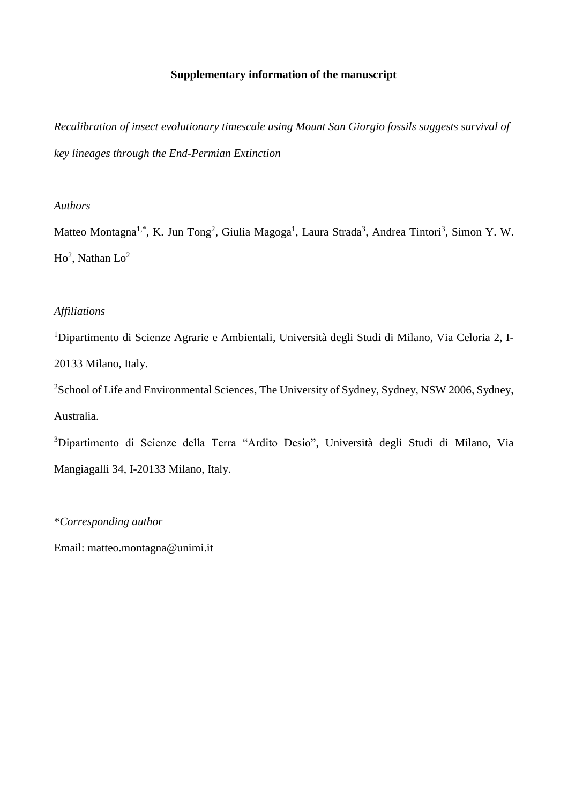# **Supplementary information of the manuscript**

*Recalibration of insect evolutionary timescale using Mount San Giorgio fossils suggests survival of key lineages through the End-Permian Extinction*

# *Authors*

Matteo Montagna<sup>1,\*</sup>, K. Jun Tong<sup>2</sup>, Giulia Magoga<sup>1</sup>, Laura Strada<sup>3</sup>, Andrea Tintori<sup>3</sup>, Simon Y. W.  $Ho^2$ , Nathan  $Lo^2$ 

# *Affiliations*

<sup>1</sup>Dipartimento di Scienze Agrarie e Ambientali, Università degli Studi di Milano, Via Celoria 2, I-20133 Milano, Italy.

<sup>2</sup>School of Life and Environmental Sciences, The University of Sydney, Sydney, NSW 2006, Sydney, Australia.

<sup>3</sup>Dipartimento di Scienze della Terra "Ardito Desio", Università degli Studi di Milano, Via Mangiagalli 34, I-20133 Milano, Italy.

\**Corresponding author*

Email: matteo.montagna@unimi.it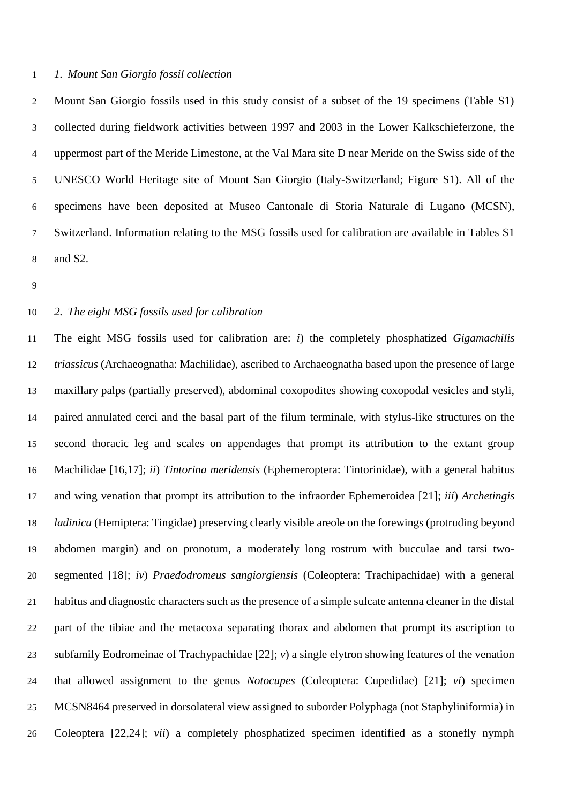### *1. Mount San Giorgio fossil collection*

 Mount San Giorgio fossils used in this study consist of a subset of the 19 specimens (Table S1) collected during fieldwork activities between 1997 and 2003 in the Lower Kalkschieferzone, the uppermost part of the Meride Limestone, at the Val Mara site D near Meride on the Swiss side of the UNESCO World Heritage site of Mount San Giorgio (Italy-Switzerland; Figure S1). All of the specimens have been deposited at Museo Cantonale di Storia Naturale di Lugano (MCSN), Switzerland. Information relating to the MSG fossils used for calibration are available in Tables S1 and S2.

### *2. The eight MSG fossils used for calibration*

 The eight MSG fossils used for calibration are: *i*) the completely phosphatized *Gigamachilis triassicus* (Archaeognatha: Machilidae), ascribed to Archaeognatha based upon the presence of large maxillary palps (partially preserved), abdominal coxopodites showing coxopodal vesicles and styli, paired annulated cerci and the basal part of the filum terminale, with stylus-like structures on the second thoracic leg and scales on appendages that prompt its attribution to the extant group Machilidae [16,17]; *ii*) *Tintorina meridensis* (Ephemeroptera: Tintorinidae), with a general habitus and wing venation that prompt its attribution to the infraorder Ephemeroidea [21]; *iii*) *Archetingis ladinica* (Hemiptera: Tingidae) preserving clearly visible areole on the forewings (protruding beyond abdomen margin) and on pronotum, a moderately long rostrum with bucculae and tarsi two- segmented [18]; *iv*) *Praedodromeus sangiorgiensis* (Coleoptera: Trachipachidae) with a general habitus and diagnostic characters such as the presence of a simple sulcate antenna cleaner in the distal part of the tibiae and the metacoxa separating thorax and abdomen that prompt its ascription to subfamily Eodromeinae of Trachypachidae [22]; *v*) a single elytron showing features of the venation that allowed assignment to the genus *Notocupes* (Coleoptera: Cupedidae) [21]; *vi*) specimen MCSN8464 preserved in dorsolateral view assigned to suborder Polyphaga (not Staphyliniformia) in Coleoptera [22,24]; *vii*) a completely phosphatized specimen identified as a stonefly nymph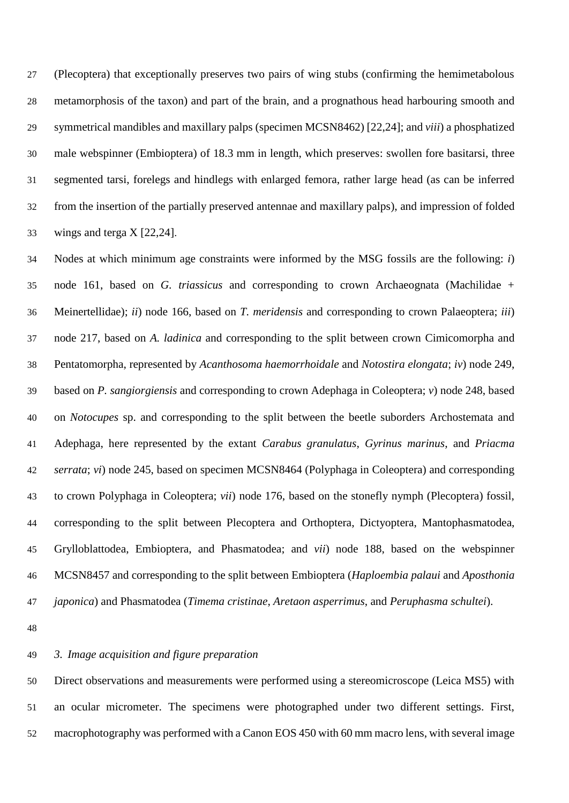(Plecoptera) that exceptionally preserves two pairs of wing stubs (confirming the hemimetabolous metamorphosis of the taxon) and part of the brain, and a prognathous head harbouring smooth and symmetrical mandibles and maxillary palps (specimen MCSN8462) [22,24]; and *viii*) a phosphatized male webspinner (Embioptera) of 18.3 mm in length, which preserves: swollen fore basitarsi, three segmented tarsi, forelegs and hindlegs with enlarged femora, rather large head (as can be inferred from the insertion of the partially preserved antennae and maxillary palps), and impression of folded wings and terga X [22,24].

 Nodes at which minimum age constraints were informed by the MSG fossils are the following: *i*) node 161, based on *G. triassicus* and corresponding to crown Archaeognata (Machilidae + Meinertellidae); *ii*) node 166, based on *T. meridensis* and corresponding to crown Palaeoptera; *iii*) node 217, based on *A. ladinica* and corresponding to the split between crown Cimicomorpha and Pentatomorpha, represented by *Acanthosoma haemorrhoidale* and *Notostira elongata*; *iv*) node 249, based on *P. sangiorgiensis* and corresponding to crown Adephaga in Coleoptera; *v*) node 248, based on *Notocupes* sp. and corresponding to the split between the beetle suborders Archostemata and Adephaga, here represented by the extant *Carabus granulatus*, *Gyrinus marinus*, and *Priacma serrata*; *vi*) node 245, based on specimen MCSN8464 (Polyphaga in Coleoptera) and corresponding to crown Polyphaga in Coleoptera; *vii*) node 176, based on the stonefly nymph (Plecoptera) fossil, corresponding to the split between Plecoptera and Orthoptera, Dictyoptera, Mantophasmatodea, Grylloblattodea, Embioptera, and Phasmatodea; and *vii*) node 188, based on the webspinner MCSN8457 and corresponding to the split between Embioptera (*Haploembia palaui* and *Aposthonia japonica*) and Phasmatodea (*Timema cristinae*, *Aretaon asperrimus*, and *Peruphasma schultei*).

# *3. Image acquisition and figure preparation*

 Direct observations and measurements were performed using a stereomicroscope (Leica MS5) with an ocular micrometer. The specimens were photographed under two different settings. First, macrophotography was performed with a Canon EOS 450 with 60 mm macro lens, with several image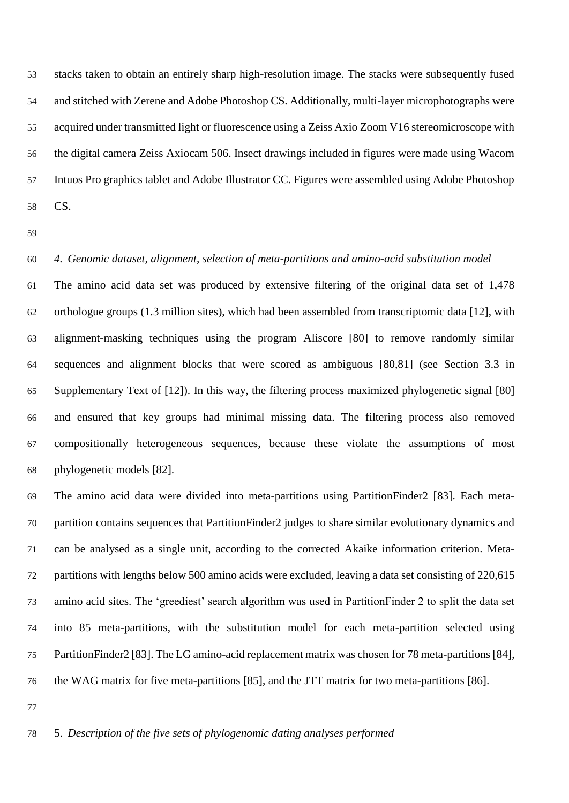stacks taken to obtain an entirely sharp high-resolution image. The stacks were subsequently fused and stitched with Zerene and Adobe Photoshop CS. Additionally, multi-layer microphotographs were acquired under transmitted light or fluorescence using a Zeiss Axio Zoom V16 stereomicroscope with the digital camera Zeiss Axiocam 506. Insect drawings included in figures were made using Wacom Intuos Pro graphics tablet and Adobe Illustrator CC. Figures were assembled using Adobe Photoshop CS.

#### *4. Genomic dataset, alignment, selection of meta-partitions and amino-acid substitution model*

 The amino acid data set was produced by extensive filtering of the original data set of 1,478 orthologue groups (1.3 million sites), which had been assembled from transcriptomic data [12], with alignment-masking techniques using the program Aliscore [80] to remove randomly similar sequences and alignment blocks that were scored as ambiguous [80,81] (see Section 3.3 in Supplementary Text of [12]). In this way, the filtering process maximized phylogenetic signal [80] and ensured that key groups had minimal missing data. The filtering process also removed compositionally heterogeneous sequences, because these violate the assumptions of most phylogenetic models [82].

 The amino acid data were divided into meta-partitions using PartitionFinder2 [83]. Each meta- partition contains sequences that PartitionFinder2 judges to share similar evolutionary dynamics and can be analysed as a single unit, according to the corrected Akaike information criterion. Meta- partitions with lengths below 500 amino acids were excluded, leaving a data set consisting of 220,615 amino acid sites. The 'greediest' search algorithm was used in PartitionFinder 2 to split the data set into 85 meta-partitions, with the substitution model for each meta-partition selected using PartitionFinder2 [83]. The LG amino-acid replacement matrix was chosen for 78 meta-partitions [84], the WAG matrix for five meta-partitions [85], and the JTT matrix for two meta-partitions [86].

### 5. *Description of the five sets of phylogenomic dating analyses performed*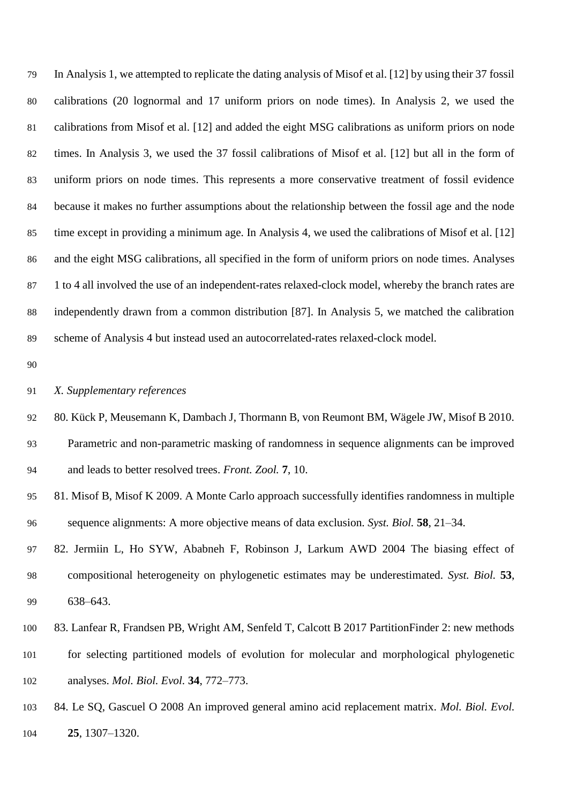In Analysis 1, we attempted to replicate the dating analysis of Misof et al. [12] by using their 37 fossil calibrations (20 lognormal and 17 uniform priors on node times). In Analysis 2, we used the calibrations from Misof et al. [12] and added the eight MSG calibrations as uniform priors on node times. In Analysis 3, we used the 37 fossil calibrations of Misof et al. [12] but all in the form of uniform priors on node times. This represents a more conservative treatment of fossil evidence because it makes no further assumptions about the relationship between the fossil age and the node time except in providing a minimum age. In Analysis 4, we used the calibrations of Misof et al. [12] and the eight MSG calibrations, all specified in the form of uniform priors on node times. Analyses 1 to 4 all involved the use of an independent-rates relaxed-clock model, whereby the branch rates are independently drawn from a common distribution [87]. In Analysis 5, we matched the calibration scheme of Analysis 4 but instead used an autocorrelated-rates relaxed-clock model.

#### *X. Supplementary references*

- 80. Kück P, Meusemann K, Dambach J, Thormann B, von Reumont BM, Wägele JW, Misof B 2010.
- Parametric and non-parametric masking of randomness in sequence alignments can be improved and leads to better resolved trees. *Front. Zool.* **7**, 10.
- 81. Misof B, Misof K 2009. A Monte Carlo approach successfully identifies randomness in multiple sequence alignments: A more objective means of data exclusion. *Syst. Biol.* **58**, 21–34.
- 82. Jermiin L, Ho SYW, Ababneh F, Robinson J, Larkum AWD 2004 The biasing effect of compositional heterogeneity on phylogenetic estimates may be underestimated. *Syst. Biol.* **53**, 638–643.
- 83. Lanfear R, Frandsen PB, Wright AM, Senfeld T, Calcott B 2017 PartitionFinder 2: new methods
- for selecting partitioned models of evolution for molecular and morphological phylogenetic analyses. *Mol. Biol. Evol.* **34**, 772–773.
- 84. Le SQ, Gascuel O 2008 An improved general amino acid replacement matrix. *Mol. Biol. Evol.* **25**, 1307–1320.